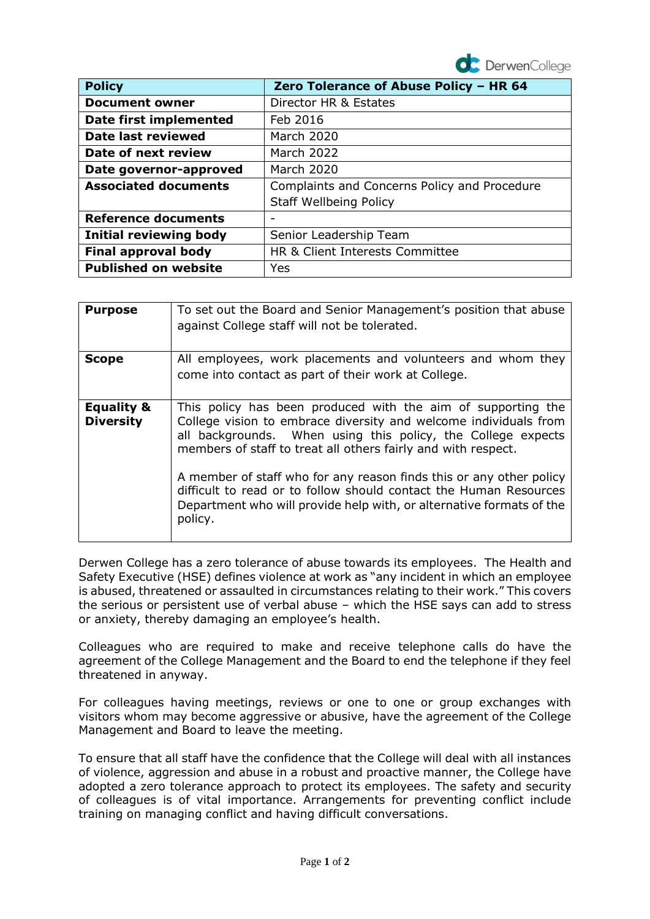

| <b>Policy</b>                 | Zero Tolerance of Abuse Policy - HR 64       |
|-------------------------------|----------------------------------------------|
| <b>Document owner</b>         | Director HR & Estates                        |
| <b>Date first implemented</b> | Feb 2016                                     |
| Date last reviewed            | <b>March 2020</b>                            |
| Date of next review           | March 2022                                   |
| Date governor-approved        | <b>March 2020</b>                            |
| <b>Associated documents</b>   | Complaints and Concerns Policy and Procedure |
|                               | <b>Staff Wellbeing Policy</b>                |
| <b>Reference documents</b>    |                                              |
| <b>Initial reviewing body</b> | Senior Leadership Team                       |
| <b>Final approval body</b>    | HR & Client Interests Committee              |
| <b>Published on website</b>   | Yes                                          |

| <b>Purpose</b>                            | To set out the Board and Senior Management's position that abuse<br>against College staff will not be tolerated.                                                                                                                                                                                                                                                                                                                                                                                 |
|-------------------------------------------|--------------------------------------------------------------------------------------------------------------------------------------------------------------------------------------------------------------------------------------------------------------------------------------------------------------------------------------------------------------------------------------------------------------------------------------------------------------------------------------------------|
| <b>Scope</b>                              | All employees, work placements and volunteers and whom they<br>come into contact as part of their work at College.                                                                                                                                                                                                                                                                                                                                                                               |
| <b>Equality &amp;</b><br><b>Diversity</b> | This policy has been produced with the aim of supporting the<br>College vision to embrace diversity and welcome individuals from<br>all backgrounds. When using this policy, the College expects<br>members of staff to treat all others fairly and with respect.<br>A member of staff who for any reason finds this or any other policy<br>difficult to read or to follow should contact the Human Resources<br>Department who will provide help with, or alternative formats of the<br>policy. |
|                                           |                                                                                                                                                                                                                                                                                                                                                                                                                                                                                                  |

Derwen College has a zero tolerance of abuse towards its employees. The Health and Safety Executive (HSE) defines violence at work as "any incident in which an employee is abused, threatened or assaulted in circumstances relating to their work." This covers the serious or persistent use of verbal abuse – which the HSE says can add to stress or anxiety, thereby damaging an employee's health.

Colleagues who are required to make and receive telephone calls do have the agreement of the College Management and the Board to end the telephone if they feel threatened in anyway.

For colleagues having meetings, reviews or one to one or group exchanges with visitors whom may become aggressive or abusive, have the agreement of the College Management and Board to leave the meeting.

To ensure that all staff have the confidence that the College will deal with all instances of violence, aggression and abuse in a robust and proactive manner, the College have adopted a zero tolerance approach to protect its employees. The safety and security of colleagues is of vital importance. Arrangements for preventing conflict include training on managing conflict and having difficult conversations.